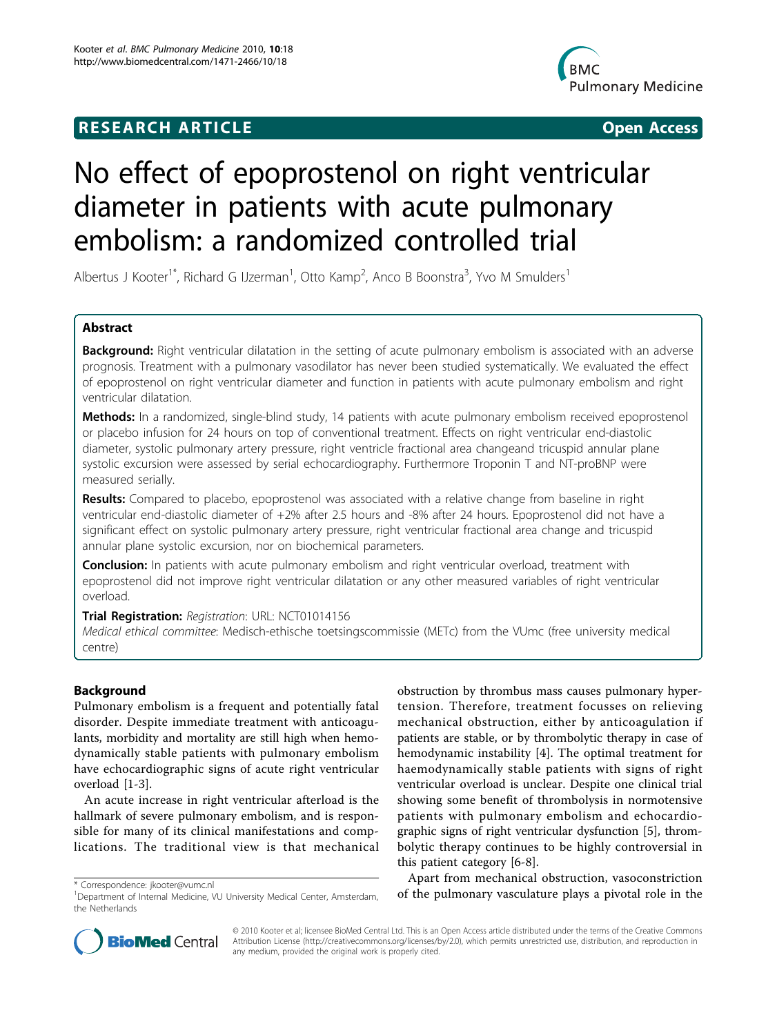## **RESEARCH ARTICLE Example 2018 12:00 Department of the Contract Open Access**



# No effect of epoprostenol on right ventricular diameter in patients with acute pulmonary embolism: a randomized controlled trial

Albertus J Kooter<sup>1\*</sup>, Richard G IJzerman<sup>1</sup>, Otto Kamp<sup>2</sup>, Anco B Boonstra<sup>3</sup>, Yvo M Smulders<sup>1</sup>

## Abstract

Background: Right ventricular dilatation in the setting of acute pulmonary embolism is associated with an adverse prognosis. Treatment with a pulmonary vasodilator has never been studied systematically. We evaluated the effect of epoprostenol on right ventricular diameter and function in patients with acute pulmonary embolism and right ventricular dilatation.

Methods: In a randomized, single-blind study, 14 patients with acute pulmonary embolism received epoprostenol or placebo infusion for 24 hours on top of conventional treatment. Effects on right ventricular end-diastolic diameter, systolic pulmonary artery pressure, right ventricle fractional area changeand tricuspid annular plane systolic excursion were assessed by serial echocardiography. Furthermore Troponin T and NT-proBNP were measured serially.

Results: Compared to placebo, epoprostenol was associated with a relative change from baseline in right ventricular end-diastolic diameter of +2% after 2.5 hours and -8% after 24 hours. Epoprostenol did not have a significant effect on systolic pulmonary artery pressure, right ventricular fractional area change and tricuspid annular plane systolic excursion, nor on biochemical parameters.

**Conclusion:** In patients with acute pulmonary embolism and right ventricular overload, treatment with epoprostenol did not improve right ventricular dilatation or any other measured variables of right ventricular overload.

Trial Registration: Registration: URL: NCT01014156

Medical ethical committee: Medisch-ethische toetsingscommissie (METc) from the VUmc (free university medical centre)

## Background

Pulmonary embolism is a frequent and potentially fatal disorder. Despite immediate treatment with anticoagulants, morbidity and mortality are still high when hemodynamically stable patients with pulmonary embolism have echocardiographic signs of acute right ventricular overload [[1-3](#page-7-0)].

An acute increase in right ventricular afterload is the hallmark of severe pulmonary embolism, and is responsible for many of its clinical manifestations and complications. The traditional view is that mechanical obstruction by thrombus mass causes pulmonary hypertension. Therefore, treatment focusses on relieving mechanical obstruction, either by anticoagulation if patients are stable, or by thrombolytic therapy in case of hemodynamic instability [[4\]](#page-7-0). The optimal treatment for haemodynamically stable patients with signs of right ventricular overload is unclear. Despite one clinical trial showing some benefit of thrombolysis in normotensive patients with pulmonary embolism and echocardiographic signs of right ventricular dysfunction [\[5](#page-7-0)], thrombolytic therapy continues to be highly controversial in this patient category [[6-8\]](#page-7-0).

Apart from mechanical obstruction, vasoconstriction \* Correspondence: [jkooter@vumc.nl](mailto:jkooter@vumc.nl)<br><sup>1</sup>Department of Internal Medicine, VU University Medical Center, Amsterdam, **of the pulmonary vasculature plays a pivotal role in the** 



© 2010 Kooter et al; licensee BioMed Central Ltd. This is an Open Access article distributed under the terms of the Creative Commons Attribution License [\(http://creativecommons.org/licenses/by/2.0](http://creativecommons.org/licenses/by/2.0)), which permits unrestricted use, distribution, and reproduction in any medium, provided the original work is properly cited.

<sup>&</sup>lt;sup>1</sup>Department of Internal Medicine, VU University Medical Center, Amsterdam, the Netherlands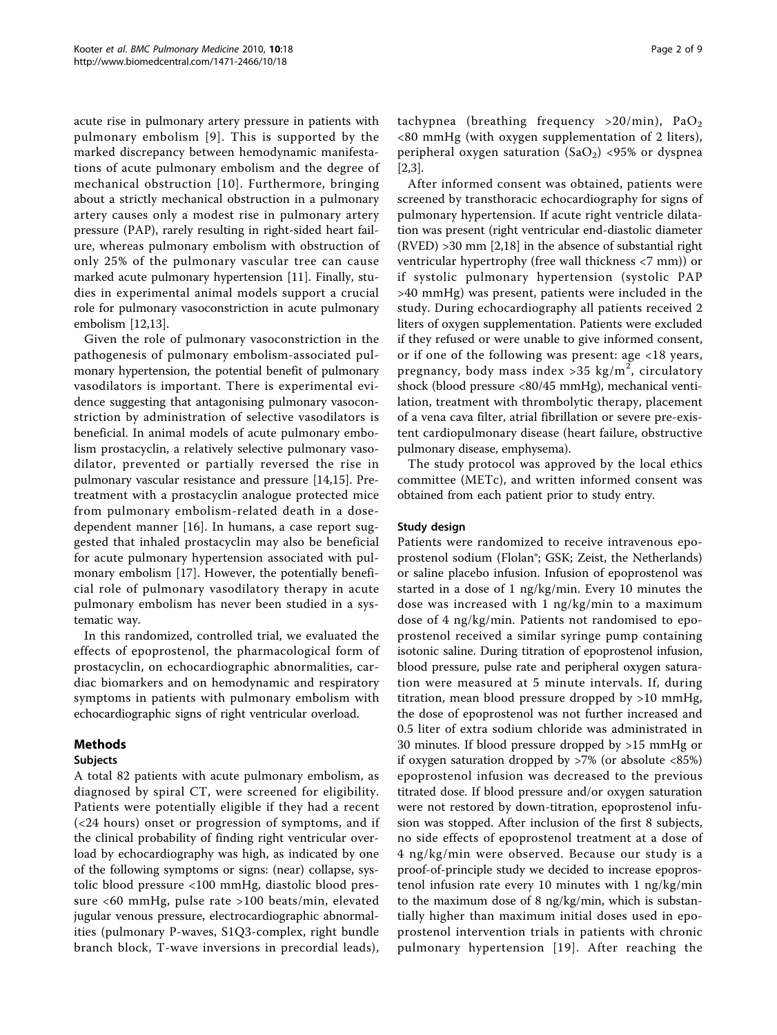acute rise in pulmonary artery pressure in patients with pulmonary embolism [[9](#page-7-0)]. This is supported by the marked discrepancy between hemodynamic manifestations of acute pulmonary embolism and the degree of mechanical obstruction [[10](#page-7-0)]. Furthermore, bringing about a strictly mechanical obstruction in a pulmonary artery causes only a modest rise in pulmonary artery pressure (PAP), rarely resulting in right-sided heart failure, whereas pulmonary embolism with obstruction of only 25% of the pulmonary vascular tree can cause marked acute pulmonary hypertension [\[11](#page-7-0)]. Finally, studies in experimental animal models support a crucial role for pulmonary vasoconstriction in acute pulmonary embolism [[12,13](#page-7-0)].

Given the role of pulmonary vasoconstriction in the pathogenesis of pulmonary embolism-associated pulmonary hypertension, the potential benefit of pulmonary vasodilators is important. There is experimental evidence suggesting that antagonising pulmonary vasoconstriction by administration of selective vasodilators is beneficial. In animal models of acute pulmonary embolism prostacyclin, a relatively selective pulmonary vasodilator, prevented or partially reversed the rise in pulmonary vascular resistance and pressure [[14,15\]](#page-7-0). Pretreatment with a prostacyclin analogue protected mice from pulmonary embolism-related death in a dosedependent manner [\[16\]](#page-7-0). In humans, a case report suggested that inhaled prostacyclin may also be beneficial for acute pulmonary hypertension associated with pulmonary embolism [\[17\]](#page-7-0). However, the potentially beneficial role of pulmonary vasodilatory therapy in acute pulmonary embolism has never been studied in a systematic way.

In this randomized, controlled trial, we evaluated the effects of epoprostenol, the pharmacological form of prostacyclin, on echocardiographic abnormalities, cardiac biomarkers and on hemodynamic and respiratory symptoms in patients with pulmonary embolism with echocardiographic signs of right ventricular overload.

## Methods

## Subjects

A total 82 patients with acute pulmonary embolism, as diagnosed by spiral CT, were screened for eligibility. Patients were potentially eligible if they had a recent (<24 hours) onset or progression of symptoms, and if the clinical probability of finding right ventricular overload by echocardiography was high, as indicated by one of the following symptoms or signs: (near) collapse, systolic blood pressure <100 mmHg, diastolic blood pressure <60 mmHg, pulse rate >100 beats/min, elevated jugular venous pressure, electrocardiographic abnormalities (pulmonary P-waves, S1Q3-complex, right bundle branch block, T-wave inversions in precordial leads), tachypnea (breathing frequency  $>20/min$ ), PaO<sub>2</sub> <80 mmHg (with oxygen supplementation of 2 liters), peripheral oxygen saturation (SaO<sub>2</sub>) <95% or dyspnea [[2,3\]](#page-7-0).

After informed consent was obtained, patients were screened by transthoracic echocardiography for signs of pulmonary hypertension. If acute right ventricle dilatation was present (right ventricular end-diastolic diameter (RVED) >30 mm [\[2,18\]](#page-7-0) in the absence of substantial right ventricular hypertrophy (free wall thickness <7 mm)) or if systolic pulmonary hypertension (systolic PAP >40 mmHg) was present, patients were included in the study. During echocardiography all patients received 2 liters of oxygen supplementation. Patients were excluded if they refused or were unable to give informed consent, or if one of the following was present: age <18 years, pregnancy, body mass index > 35 kg/m<sup>2</sup>, circulatory shock (blood pressure <80/45 mmHg), mechanical ventilation, treatment with thrombolytic therapy, placement of a vena cava filter, atrial fibrillation or severe pre-existent cardiopulmonary disease (heart failure, obstructive pulmonary disease, emphysema).

The study protocol was approved by the local ethics committee (METc), and written informed consent was obtained from each patient prior to study entry.

## Study design

Patients were randomized to receive intravenous epoprostenol sodium (Flolan®; GSK; Zeist, the Netherlands) or saline placebo infusion. Infusion of epoprostenol was started in a dose of 1 ng/kg/min. Every 10 minutes the dose was increased with 1 ng/kg/min to a maximum dose of 4 ng/kg/min. Patients not randomised to epoprostenol received a similar syringe pump containing isotonic saline. During titration of epoprostenol infusion, blood pressure, pulse rate and peripheral oxygen saturation were measured at 5 minute intervals. If, during titration, mean blood pressure dropped by >10 mmHg, the dose of epoprostenol was not further increased and 0.5 liter of extra sodium chloride was administrated in 30 minutes. If blood pressure dropped by >15 mmHg or if oxygen saturation dropped by >7% (or absolute <85%) epoprostenol infusion was decreased to the previous titrated dose. If blood pressure and/or oxygen saturation were not restored by down-titration, epoprostenol infusion was stopped. After inclusion of the first 8 subjects, no side effects of epoprostenol treatment at a dose of 4 ng/kg/min were observed. Because our study is a proof-of-principle study we decided to increase epoprostenol infusion rate every 10 minutes with 1 ng/kg/min to the maximum dose of 8 ng/kg/min, which is substantially higher than maximum initial doses used in epoprostenol intervention trials in patients with chronic pulmonary hypertension [\[19](#page-7-0)]. After reaching the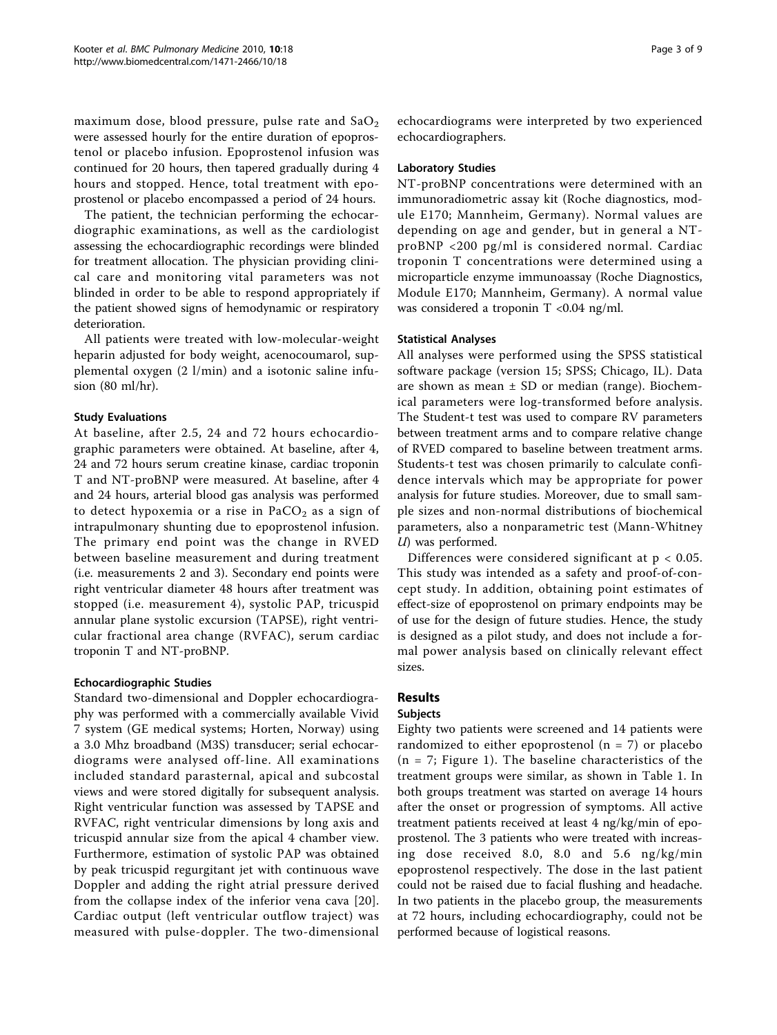maximum dose, blood pressure, pulse rate and  $SaO<sub>2</sub>$ were assessed hourly for the entire duration of epoprostenol or placebo infusion. Epoprostenol infusion was continued for 20 hours, then tapered gradually during 4 hours and stopped. Hence, total treatment with epoprostenol or placebo encompassed a period of 24 hours.

The patient, the technician performing the echocardiographic examinations, as well as the cardiologist assessing the echocardiographic recordings were blinded for treatment allocation. The physician providing clinical care and monitoring vital parameters was not blinded in order to be able to respond appropriately if the patient showed signs of hemodynamic or respiratory deterioration.

All patients were treated with low-molecular-weight heparin adjusted for body weight, acenocoumarol, supplemental oxygen (2 l/min) and a isotonic saline infusion (80 ml/hr).

## Study Evaluations

At baseline, after 2.5, 24 and 72 hours echocardiographic parameters were obtained. At baseline, after 4, 24 and 72 hours serum creatine kinase, cardiac troponin T and NT-proBNP were measured. At baseline, after 4 and 24 hours, arterial blood gas analysis was performed to detect hypoxemia or a rise in  $PaCO<sub>2</sub>$  as a sign of intrapulmonary shunting due to epoprostenol infusion. The primary end point was the change in RVED between baseline measurement and during treatment (i.e. measurements 2 and 3). Secondary end points were right ventricular diameter 48 hours after treatment was stopped (i.e. measurement 4), systolic PAP, tricuspid annular plane systolic excursion (TAPSE), right ventricular fractional area change (RVFAC), serum cardiac troponin T and NT-proBNP.

## Echocardiographic Studies

Standard two-dimensional and Doppler echocardiography was performed with a commercially available Vivid 7 system (GE medical systems; Horten, Norway) using a 3.0 Mhz broadband (M3S) transducer; serial echocardiograms were analysed off-line. All examinations included standard parasternal, apical and subcostal views and were stored digitally for subsequent analysis. Right ventricular function was assessed by TAPSE and RVFAC, right ventricular dimensions by long axis and tricuspid annular size from the apical 4 chamber view. Furthermore, estimation of systolic PAP was obtained by peak tricuspid regurgitant jet with continuous wave Doppler and adding the right atrial pressure derived from the collapse index of the inferior vena cava [[20](#page-7-0)]. Cardiac output (left ventricular outflow traject) was measured with pulse-doppler. The two-dimensional echocardiograms were interpreted by two experienced echocardiographers.

## Laboratory Studies

NT-proBNP concentrations were determined with an immunoradiometric assay kit (Roche diagnostics, module E170; Mannheim, Germany). Normal values are depending on age and gender, but in general a NTproBNP <200 pg/ml is considered normal. Cardiac troponin T concentrations were determined using a microparticle enzyme immunoassay (Roche Diagnostics, Module E170; Mannheim, Germany). A normal value was considered a troponin  $T < 0.04$  ng/ml.

#### Statistical Analyses

All analyses were performed using the SPSS statistical software package (version 15; SPSS; Chicago, IL). Data are shown as mean  $\pm$  SD or median (range). Biochemical parameters were log-transformed before analysis. The Student-t test was used to compare RV parameters between treatment arms and to compare relative change of RVED compared to baseline between treatment arms. Students-t test was chosen primarily to calculate confidence intervals which may be appropriate for power analysis for future studies. Moreover, due to small sample sizes and non-normal distributions of biochemical parameters, also a nonparametric test (Mann-Whitney U) was performed.

Differences were considered significant at p < 0.05. This study was intended as a safety and proof-of-concept study. In addition, obtaining point estimates of effect-size of epoprostenol on primary endpoints may be of use for the design of future studies. Hence, the study is designed as a pilot study, and does not include a formal power analysis based on clinically relevant effect sizes.

## Results

## Subjects

Eighty two patients were screened and 14 patients were randomized to either epoprostenol ( $n = 7$ ) or placebo  $(n = 7;$  Figure [1\)](#page-3-0). The baseline characteristics of the treatment groups were similar, as shown in Table [1](#page-3-0). In both groups treatment was started on average 14 hours after the onset or progression of symptoms. All active treatment patients received at least 4 ng/kg/min of epoprostenol. The 3 patients who were treated with increasing dose received 8.0, 8.0 and 5.6 ng/kg/min epoprostenol respectively. The dose in the last patient could not be raised due to facial flushing and headache. In two patients in the placebo group, the measurements at 72 hours, including echocardiography, could not be performed because of logistical reasons.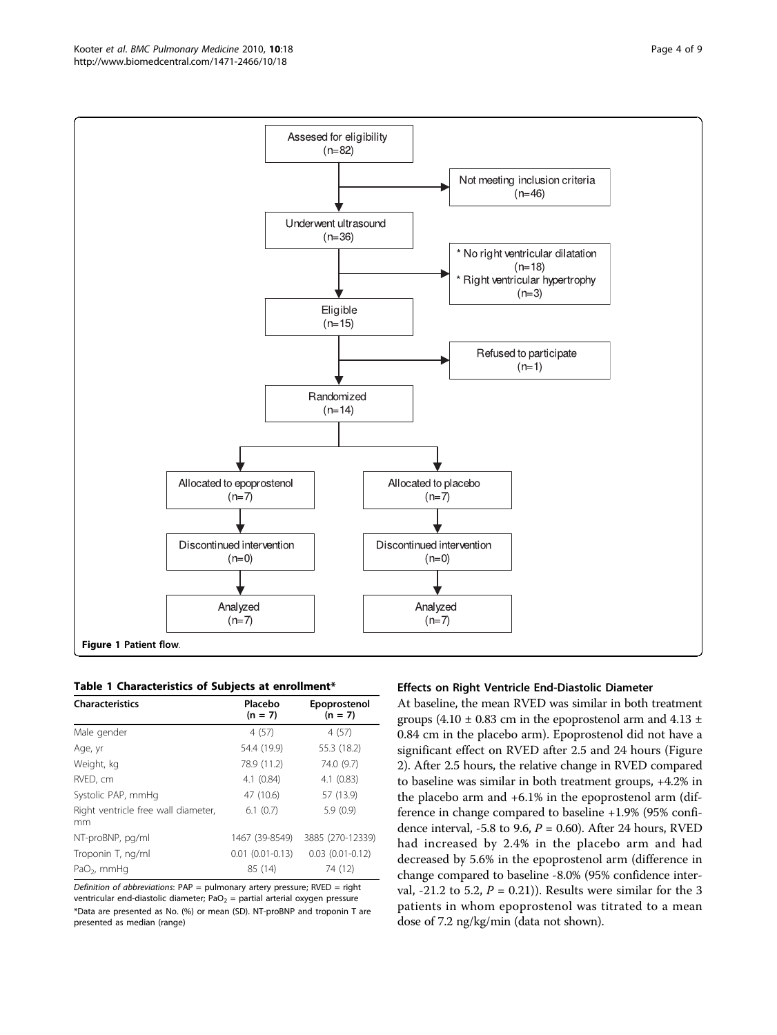<span id="page-3-0"></span>

Table 1 Characteristics of Subjects at enrollment\*

| <b>Characteristics</b>                    | Placebo<br>$(n = 7)$ | Epoprostenol<br>$(n = 7)$ |
|-------------------------------------------|----------------------|---------------------------|
| Male gender                               | 4(57)                | 4(57)                     |
| Age, yr                                   | 54.4 (19.9)          | 55.3 (18.2)               |
| Weight, kg                                | 78.9 (11.2)          | 74.0 (9.7)                |
| RVED, cm                                  | 4.1(0.84)            | 4.1(0.83)                 |
| Systolic PAP, mmHg                        | 47 (10.6)            | 57 (13.9)                 |
| Right ventricle free wall diameter,<br>mm | 6.1(0.7)             | 5.9(0.9)                  |
| NT-proBNP, pg/ml                          | 1467 (39-8549)       | 3885 (270-12339)          |
| Troponin T, ng/ml                         | $0.01(0.01 - 0.13)$  | $0.03$ $(0.01 - 0.12)$    |
| PaO <sub>2</sub> , mmHq                   | 85 (14)              | 74 (12)                   |

Definition of abbreviations:  $PAP =$  pulmonary artery pressure;  $RVED =$  right ventricular end-diastolic diameter;  $PaO<sub>2</sub>$  = partial arterial oxygen pressure \*Data are presented as No. (%) or mean (SD). NT-proBNP and troponin T are presented as median (range)

## Effects on Right Ventricle End-Diastolic Diameter

At baseline, the mean RVED was similar in both treatment groups (4.10  $\pm$  0.83 cm in the epoprostenol arm and 4.13  $\pm$ 0.84 cm in the placebo arm). Epoprostenol did not have a significant effect on RVED after 2.5 and 24 hours (Figure [2\)](#page-4-0). After 2.5 hours, the relative change in RVED compared to baseline was similar in both treatment groups, +4.2% in the placebo arm and +6.1% in the epoprostenol arm (difference in change compared to baseline +1.9% (95% confidence interval, -5.8 to 9.6,  $P = 0.60$ ). After 24 hours, RVED had increased by 2.4% in the placebo arm and had decreased by 5.6% in the epoprostenol arm (difference in change compared to baseline -8.0% (95% confidence interval, -21.2 to 5.2,  $P = 0.21$ )). Results were similar for the 3 patients in whom epoprostenol was titrated to a mean dose of 7.2 ng/kg/min (data not shown).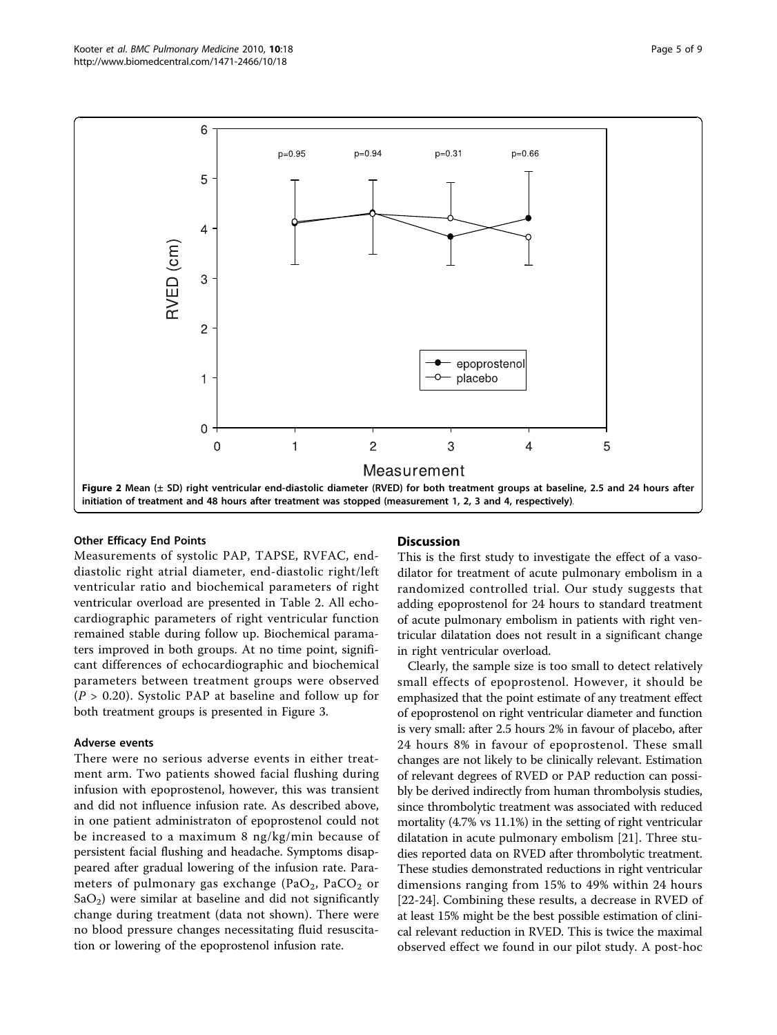<span id="page-4-0"></span>

#### Other Efficacy End Points

Measurements of systolic PAP, TAPSE, RVFAC, enddiastolic right atrial diameter, end-diastolic right/left ventricular ratio and biochemical parameters of right ventricular overload are presented in Table [2](#page-5-0). All echocardiographic parameters of right ventricular function remained stable during follow up. Biochemical paramaters improved in both groups. At no time point, significant differences of echocardiographic and biochemical parameters between treatment groups were observed  $(P > 0.20)$ . Systolic PAP at baseline and follow up for both treatment groups is presented in Figure [3.](#page-6-0)

## Adverse events

There were no serious adverse events in either treatment arm. Two patients showed facial flushing during infusion with epoprostenol, however, this was transient and did not influence infusion rate. As described above, in one patient administraton of epoprostenol could not be increased to a maximum 8 ng/kg/min because of persistent facial flushing and headache. Symptoms disappeared after gradual lowering of the infusion rate. Parameters of pulmonary gas exchange (PaO<sub>2</sub>, PaCO<sub>2</sub> or  $SaO<sub>2</sub>$ ) were similar at baseline and did not significantly change during treatment (data not shown). There were no blood pressure changes necessitating fluid resuscitation or lowering of the epoprostenol infusion rate.

## **Discussion**

This is the first study to investigate the effect of a vasodilator for treatment of acute pulmonary embolism in a randomized controlled trial. Our study suggests that adding epoprostenol for 24 hours to standard treatment of acute pulmonary embolism in patients with right ventricular dilatation does not result in a significant change in right ventricular overload.

Clearly, the sample size is too small to detect relatively small effects of epoprostenol. However, it should be emphasized that the point estimate of any treatment effect of epoprostenol on right ventricular diameter and function is very small: after 2.5 hours 2% in favour of placebo, after 24 hours 8% in favour of epoprostenol. These small changes are not likely to be clinically relevant. Estimation of relevant degrees of RVED or PAP reduction can possibly be derived indirectly from human thrombolysis studies, since thrombolytic treatment was associated with reduced mortality (4.7% vs 11.1%) in the setting of right ventricular dilatation in acute pulmonary embolism [[21\]](#page-7-0). Three studies reported data on RVED after thrombolytic treatment. These studies demonstrated reductions in right ventricular dimensions ranging from 15% to 49% within 24 hours [[22-24](#page-7-0)]. Combining these results, a decrease in RVED of at least 15% might be the best possible estimation of clinical relevant reduction in RVED. This is twice the maximal observed effect we found in our pilot study. A post-hoc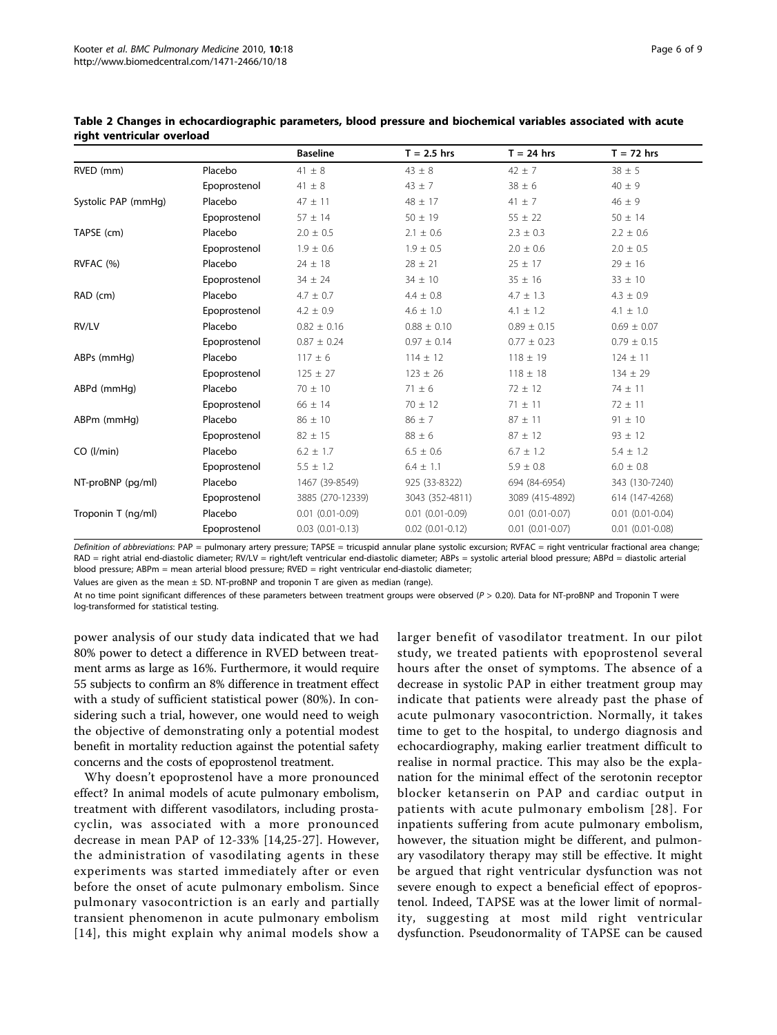|                     |              | <b>Baseline</b>        | $T = 2.5$ hrs          | $T = 24$ hrs           | $T = 72$ hrs           |
|---------------------|--------------|------------------------|------------------------|------------------------|------------------------|
| RVED (mm)           | Placebo      | $41 \pm 8$             | $43 \pm 8$             | $42 \pm 7$             | $38 \pm 5$             |
|                     | Epoprostenol | $41 \pm 8$             | $43 \pm 7$             | $38 \pm 6$             | $40 \pm 9$             |
| Systolic PAP (mmHg) | Placebo      | $47 \pm 11$            | $48 \pm 17$            | $41 \pm 7$             | $46 \pm 9$             |
|                     | Epoprostenol | $57 \pm 14$            | $50 \pm 19$            | $55 \pm 22$            | $50 \pm 14$            |
| TAPSE (cm)          | Placebo      | $2.0 \pm 0.5$          | $2.1 \pm 0.6$          | $2.3 \pm 0.3$          | $2.2 \pm 0.6$          |
|                     | Epoprostenol | $1.9 \pm 0.6$          | $1.9 \pm 0.5$          | $2.0 \pm 0.6$          | $2.0 \pm 0.5$          |
| RVFAC (%)           | Placebo      | $24 \pm 18$            | $28 \pm 21$            | $25 \pm 17$            | $29 \pm 16$            |
|                     | Epoprostenol | $34 \pm 24$            | $34 \pm 10$            | $35 \pm 16$            | $33 \pm 10$            |
| RAD (cm)            | Placebo      | $4.7 \pm 0.7$          | $4.4 \pm 0.8$          | $4.7 \pm 1.3$          | $4.3 \pm 0.9$          |
|                     | Epoprostenol | $4.2 \pm 0.9$          | $4.6 \pm 1.0$          | $4.1 \pm 1.2$          | $4.1 \pm 1.0$          |
| RV/LV               | Placebo      | $0.82 \pm 0.16$        | $0.88 \pm 0.10$        | $0.89 \pm 0.15$        | $0.69 \pm 0.07$        |
|                     | Epoprostenol | $0.87 \pm 0.24$        | $0.97 \pm 0.14$        | $0.77 \pm 0.23$        | $0.79 \pm 0.15$        |
| ABPs (mmHg)         | Placebo      | $117 \pm 6$            | $114 \pm 12$           | $118 \pm 19$           | $124 \pm 11$           |
|                     | Epoprostenol | $125 \pm 27$           | $123 \pm 26$           | $118 \pm 18$           | $134 \pm 29$           |
| ABPd (mmHq)         | Placebo      | $70 \pm 10$            | $71 \pm 6$             | $72 \pm 12$            | $74 \pm 11$            |
|                     | Epoprostenol | $66 \pm 14$            | $70 \pm 12$            | $71 \pm 11$            | $72 \pm 11$            |
| ABPm (mmHg)         | Placebo      | $86 \pm 10$            | $86 \pm 7$             | $87 \pm 11$            | $91 \pm 10$            |
|                     | Epoprostenol | $82 \pm 15$            | $88 \pm 6$             | $87 \pm 12$            | $93 \pm 12$            |
| CO (I/min)          | Placebo      | $6.2 \pm 1.7$          | $6.5 \pm 0.6$          | $6.7 \pm 1.2$          | $5.4 \pm 1.2$          |
|                     | Epoprostenol | $5.5 \pm 1.2$          | $6.4 \pm 1.1$          | $5.9 \pm 0.8$          | $6.0 \pm 0.8$          |
| NT-proBNP (pq/ml)   | Placebo      | 1467 (39-8549)         | 925 (33-8322)          | 694 (84-6954)          | 343 (130-7240)         |
|                     | Epoprostenol | 3885 (270-12339)       | 3043 (352-4811)        | 3089 (415-4892)        | 614 (147-4268)         |
| Troponin T (ng/ml)  | Placebo      | $0.01(0.01 - 0.09)$    | $0.01(0.01 - 0.09)$    | $0.01$ $(0.01 - 0.07)$ | $0.01(0.01 - 0.04)$    |
|                     | Epoprostenol | $0.03$ $(0.01 - 0.13)$ | $0.02$ $(0.01 - 0.12)$ | $0.01$ $(0.01 - 0.07)$ | $0.01$ $(0.01 - 0.08)$ |

<span id="page-5-0"></span>Table 2 Changes in echocardiographic parameters, blood pressure and biochemical variables associated with acute right ventricular overload

Definition of abbreviations: PAP = pulmonary artery pressure; TAPSE = tricuspid annular plane systolic excursion; RVFAC = right ventricular fractional area change; RAD = right atrial end-diastolic diameter; RV/LV = right/left ventricular end-diastolic diameter; ABPs = systolic arterial blood pressure; ABPd = diastolic arterial blood pressure; ABPm = mean arterial blood pressure; RVED = right ventricular end-diastolic diameter;

Values are given as the mean  $\pm$  SD. NT-proBNP and troponin T are given as median (range).

At no time point significant differences of these parameters between treatment groups were observed (P > 0.20). Data for NT-proBNP and Troponin T were log-transformed for statistical testing.

power analysis of our study data indicated that we had 80% power to detect a difference in RVED between treatment arms as large as 16%. Furthermore, it would require 55 subjects to confirm an 8% difference in treatment effect with a study of sufficient statistical power (80%). In considering such a trial, however, one would need to weigh the objective of demonstrating only a potential modest benefit in mortality reduction against the potential safety concerns and the costs of epoprostenol treatment.

Why doesn't epoprostenol have a more pronounced effect? In animal models of acute pulmonary embolism, treatment with different vasodilators, including prostacyclin, was associated with a more pronounced decrease in mean PAP of 12-33% [[14,25](#page-7-0)-[27\]](#page-7-0). However, the administration of vasodilating agents in these experiments was started immediately after or even before the onset of acute pulmonary embolism. Since pulmonary vasocontriction is an early and partially transient phenomenon in acute pulmonary embolism [[14](#page-7-0)], this might explain why animal models show a larger benefit of vasodilator treatment. In our pilot study, we treated patients with epoprostenol several hours after the onset of symptoms. The absence of a decrease in systolic PAP in either treatment group may indicate that patients were already past the phase of acute pulmonary vasocontriction. Normally, it takes time to get to the hospital, to undergo diagnosis and echocardiography, making earlier treatment difficult to realise in normal practice. This may also be the explanation for the minimal effect of the serotonin receptor blocker ketanserin on PAP and cardiac output in patients with acute pulmonary embolism [[28](#page-7-0)]. For inpatients suffering from acute pulmonary embolism, however, the situation might be different, and pulmonary vasodilatory therapy may still be effective. It might be argued that right ventricular dysfunction was not severe enough to expect a beneficial effect of epoprostenol. Indeed, TAPSE was at the lower limit of normality, suggesting at most mild right ventricular dysfunction. Pseudonormality of TAPSE can be caused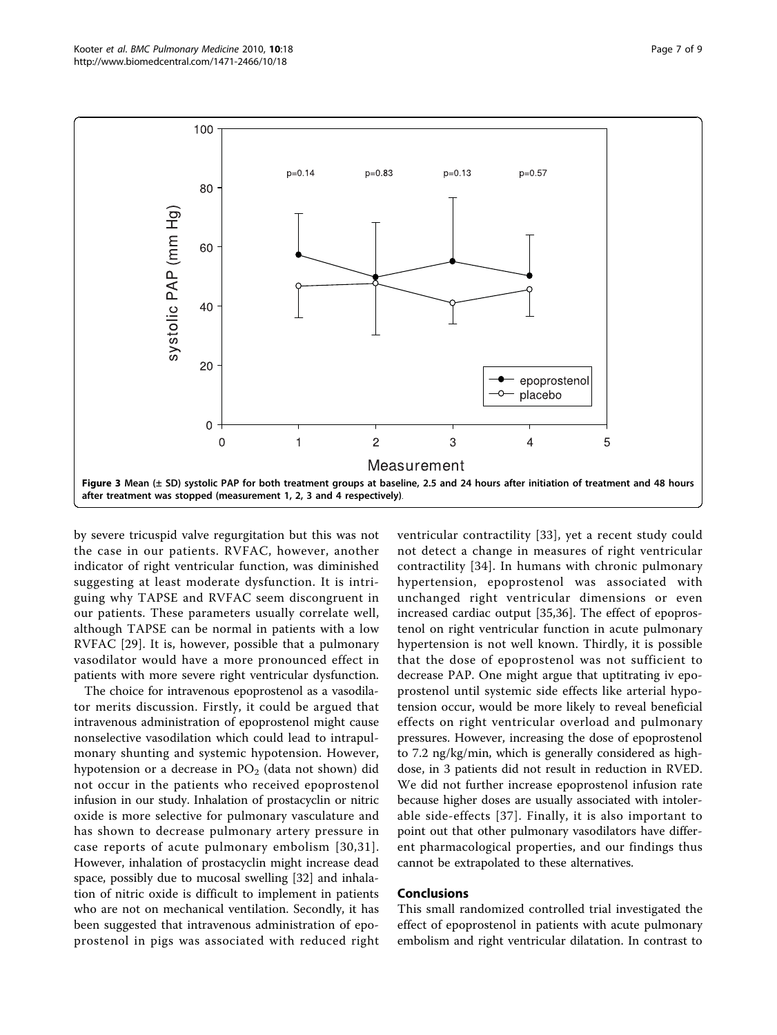<span id="page-6-0"></span>

by severe tricuspid valve regurgitation but this was not the case in our patients. RVFAC, however, another indicator of right ventricular function, was diminished suggesting at least moderate dysfunction. It is intriguing why TAPSE and RVFAC seem discongruent in our patients. These parameters usually correlate well, although TAPSE can be normal in patients with a low RVFAC [[29\]](#page-7-0). It is, however, possible that a pulmonary vasodilator would have a more pronounced effect in patients with more severe right ventricular dysfunction.

The choice for intravenous epoprostenol as a vasodilator merits discussion. Firstly, it could be argued that intravenous administration of epoprostenol might cause nonselective vasodilation which could lead to intrapulmonary shunting and systemic hypotension. However, hypotension or a decrease in  $PO<sub>2</sub>$  (data not shown) did not occur in the patients who received epoprostenol infusion in our study. Inhalation of prostacyclin or nitric oxide is more selective for pulmonary vasculature and has shown to decrease pulmonary artery pressure in case reports of acute pulmonary embolism [[30](#page-8-0),[31\]](#page-8-0). However, inhalation of prostacyclin might increase dead space, possibly due to mucosal swelling [\[32](#page-8-0)] and inhalation of nitric oxide is difficult to implement in patients who are not on mechanical ventilation. Secondly, it has been suggested that intravenous administration of epoprostenol in pigs was associated with reduced right ventricular contractility [[33](#page-8-0)], yet a recent study could not detect a change in measures of right ventricular contractility [[34](#page-8-0)]. In humans with chronic pulmonary hypertension, epoprostenol was associated with unchanged right ventricular dimensions or even increased cardiac output [[35,36](#page-8-0)]. The effect of epoprostenol on right ventricular function in acute pulmonary hypertension is not well known. Thirdly, it is possible that the dose of epoprostenol was not sufficient to decrease PAP. One might argue that uptitrating iv epoprostenol until systemic side effects like arterial hypotension occur, would be more likely to reveal beneficial effects on right ventricular overload and pulmonary pressures. However, increasing the dose of epoprostenol to 7.2 ng/kg/min, which is generally considered as highdose, in 3 patients did not result in reduction in RVED. We did not further increase epoprostenol infusion rate because higher doses are usually associated with intolerable side-effects [[37](#page-8-0)]. Finally, it is also important to point out that other pulmonary vasodilators have different pharmacological properties, and our findings thus cannot be extrapolated to these alternatives.

## Conclusions

This small randomized controlled trial investigated the effect of epoprostenol in patients with acute pulmonary embolism and right ventricular dilatation. In contrast to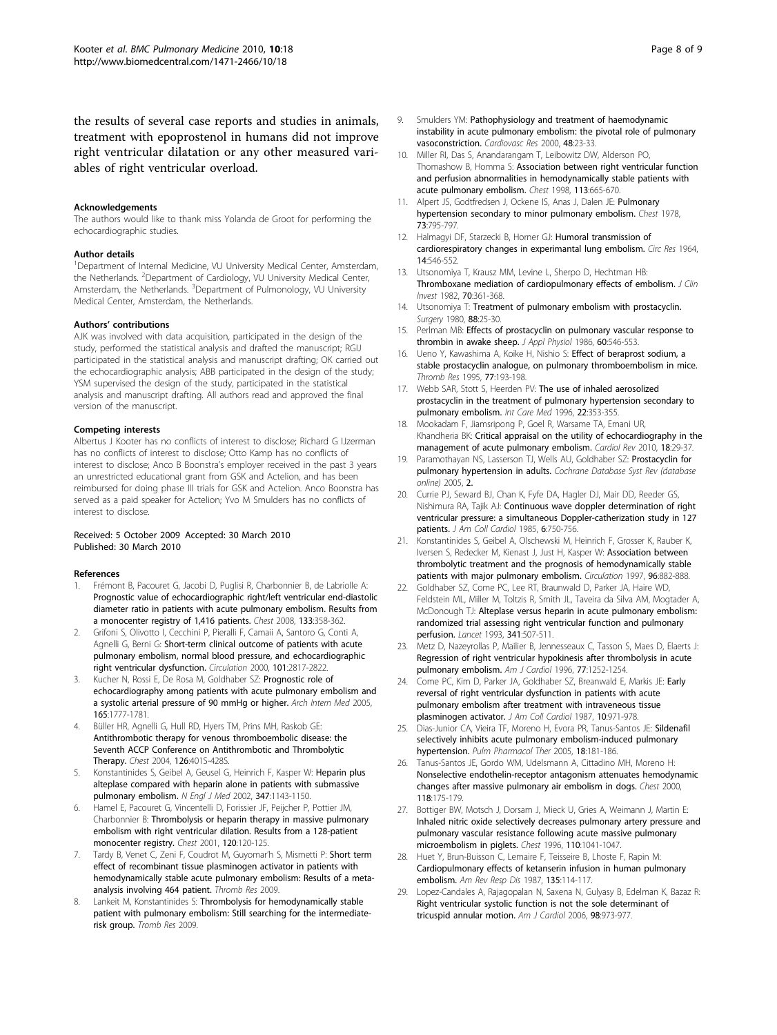<span id="page-7-0"></span>the results of several case reports and studies in animals, treatment with epoprostenol in humans did not improve right ventricular dilatation or any other measured variables of right ventricular overload.

#### Acknowledgements

The authors would like to thank miss Yolanda de Groot for performing the echocardiographic studies.

#### Author details

<sup>1</sup>Department of Internal Medicine, VU University Medical Center, Amsterdam, the Netherlands. <sup>2</sup>Department of Cardiology, VU University Medical Center, Amsterdam, the Netherlands. <sup>3</sup>Department of Pulmonology, VU University Medical Center, Amsterdam, the Netherlands.

#### Authors' contributions

AJK was involved with data acquisition, participated in the design of the study, performed the statistical analysis and drafted the manuscript; RGIJ participated in the statistical analysis and manuscript drafting; OK carried out the echocardiographic analysis; ABB participated in the design of the study; YSM supervised the design of the study, participated in the statistical analysis and manuscript drafting. All authors read and approved the final version of the manuscript.

#### Competing interests

Albertus J Kooter has no conflicts of interest to disclose; Richard G IJzerman has no conflicts of interest to disclose; Otto Kamp has no conflicts of interest to disclose; Anco B Boonstra's employer received in the past 3 years an unrestricted educational grant from GSK and Actelion, and has been reimbursed for doing phase III trials for GSK and Actelion. Anco Boonstra has served as a paid speaker for Actelion; Yvo M Smulders has no conflicts of interest to disclose.

#### Received: 5 October 2009 Accepted: 30 March 2010 Published: 30 March 2010

#### References

- 1. Frémont B, Pacouret G, Jacobi D, Puglisi R, Charbonnier B, de Labriolle A: [Prognostic value of echocardiographic right/left ventricular end-diastolic](http://www.ncbi.nlm.nih.gov/pubmed/17951624?dopt=Abstract) [diameter ratio in patients with acute pulmonary embolism. Results from](http://www.ncbi.nlm.nih.gov/pubmed/17951624?dopt=Abstract) [a monocenter registry of 1,416 patients.](http://www.ncbi.nlm.nih.gov/pubmed/17951624?dopt=Abstract) Chest 2008, 133:358-362.
- 2. Grifoni S, Olivotto I, Cecchini P, Pieralli F, Camaii A, Santoro G, Conti A, Agnelli G, Berni G: [Short-term clinical outcome of patients with acute](http://www.ncbi.nlm.nih.gov/pubmed/10859287?dopt=Abstract) [pulmonary embolism, normal blood pressure, and echocardiographic](http://www.ncbi.nlm.nih.gov/pubmed/10859287?dopt=Abstract) [right ventricular dysfunction.](http://www.ncbi.nlm.nih.gov/pubmed/10859287?dopt=Abstract) Circulation 2000, 101:2817-2822.
- 3. Kucher N, Rossi E, De Rosa M, Goldhaber SZ: [Prognostic role of](http://www.ncbi.nlm.nih.gov/pubmed/16087827?dopt=Abstract) [echocardiography among patients with acute pulmonary embolism and](http://www.ncbi.nlm.nih.gov/pubmed/16087827?dopt=Abstract) [a systolic arterial pressure of 90 mmHg or higher.](http://www.ncbi.nlm.nih.gov/pubmed/16087827?dopt=Abstract) Arch Intern Med 2005, 165:1777-1781.
- 4. Büller HR, Agnelli G, Hull RD, Hyers TM, Prins MH, Raskob GE: [Antithrombotic therapy for venous thromboembolic disease: the](http://www.ncbi.nlm.nih.gov/pubmed/15383479?dopt=Abstract) [Seventh ACCP Conference on Antithrombotic and Thrombolytic](http://www.ncbi.nlm.nih.gov/pubmed/15383479?dopt=Abstract) [Therapy.](http://www.ncbi.nlm.nih.gov/pubmed/15383479?dopt=Abstract) Chest 2004, 126:401S-428S.
- 5. Konstantinides S, Geibel A, Geusel G, Heinrich F, Kasper W: [Heparin plus](http://www.ncbi.nlm.nih.gov/pubmed/12374874?dopt=Abstract) [alteplase compared with heparin alone in patients with submassive](http://www.ncbi.nlm.nih.gov/pubmed/12374874?dopt=Abstract) [pulmonary embolism.](http://www.ncbi.nlm.nih.gov/pubmed/12374874?dopt=Abstract) N Engl J Med 2002, 347:1143-1150.
- 6. Hamel E, Pacouret G, Vincentelli D, Forissier JF, Peijcher P, Pottier JM, Charbonnier B: [Thrombolysis or heparin therapy in massive pulmonary](http://www.ncbi.nlm.nih.gov/pubmed/11451826?dopt=Abstract) [embolism with right ventricular dilation. Results from a 128-patient](http://www.ncbi.nlm.nih.gov/pubmed/11451826?dopt=Abstract) [monocenter registry.](http://www.ncbi.nlm.nih.gov/pubmed/11451826?dopt=Abstract) Chest 2001, 120:120-125.
- 7. Tardy B, Venet C, Zeni F, Coudrot M, Guyomar'h S, Mismetti P: Short term effect of recombinant tissue plasminogen activator in patients with hemodynamically stable acute pulmonary embolism: Results of a metaanalysis involving 464 patient. Thromb Res 2009.
- 8. Lankeit M, Konstantinides S: Thrombolysis for hemodynamically stable patient with pulmonary embolism: Still searching for the intermediaterisk group. Tromb Res 2009.
- 9. Smulders YM: [Pathophysiology and treatment of haemodynamic](http://www.ncbi.nlm.nih.gov/pubmed/11033105?dopt=Abstract) [instability in acute pulmonary embolism: the pivotal role of pulmonary](http://www.ncbi.nlm.nih.gov/pubmed/11033105?dopt=Abstract) [vasoconstriction.](http://www.ncbi.nlm.nih.gov/pubmed/11033105?dopt=Abstract) Cardiovasc Res 2000, 48:23-33.
- 10. Miller RI, Das S, Anandarangam T, Leibowitz DW, Alderson PO, Thomashow B, Homma S: [Association between right ventricular function](http://www.ncbi.nlm.nih.gov/pubmed/9515840?dopt=Abstract) [and perfusion abnormalities in hemodynamically stable patients with](http://www.ncbi.nlm.nih.gov/pubmed/9515840?dopt=Abstract) [acute pulmonary embolism.](http://www.ncbi.nlm.nih.gov/pubmed/9515840?dopt=Abstract) Chest 1998, 113:665-670.
- 11. Alpert JS, Godtfredsen J, Ockene IS, Anas J, Dalen JE: [Pulmonary](http://www.ncbi.nlm.nih.gov/pubmed/657852?dopt=Abstract) [hypertension secondary to minor pulmonary embolism.](http://www.ncbi.nlm.nih.gov/pubmed/657852?dopt=Abstract) Chest 1978, 73:795-797.
- 12. Halmagyi DF, Starzecki B, Horner GJ: [Humoral transmission of](http://www.ncbi.nlm.nih.gov/pubmed/14169974?dopt=Abstract) [cardiorespiratory changes in experimantal lung embolism.](http://www.ncbi.nlm.nih.gov/pubmed/14169974?dopt=Abstract) Circ Res 1964, 14:546-552.
- 13. Utsonomiya T, Krausz MM, Levine L, Sherpo D, Hechtman HB: [Thromboxane mediation of cardiopulmonary effects of embolism.](http://www.ncbi.nlm.nih.gov/pubmed/6284801?dopt=Abstract) J Clin Invest 1982, 70:361-368.
- 14. Utsonomiya T: [Treatment of pulmonary embolism with prostacyclin.](http://www.ncbi.nlm.nih.gov/pubmed/6992319?dopt=Abstract) Surgery 1980, 88:25-30.
- 15. Perlman MB: [Effects of prostacyclin on pulmonary vascular response to](http://www.ncbi.nlm.nih.gov/pubmed/3512510?dopt=Abstract) [thrombin in awake sheep.](http://www.ncbi.nlm.nih.gov/pubmed/3512510?dopt=Abstract) J Appl Physiol 1986, 60:546-553.
- 16. Ueno Y, Kawashima A, Koike H, Nishio S: [Effect of beraprost sodium, a](http://www.ncbi.nlm.nih.gov/pubmed/7740511?dopt=Abstract) [stable prostacyclin analogue, on pulmonary thromboembolism in mice.](http://www.ncbi.nlm.nih.gov/pubmed/7740511?dopt=Abstract) Thromb Res 1995, 77:193-198.
- 17. Webb SAR, Stott S, Heerden PV: The use of inhaled aerosolized prostacyclin in the treatment of pulmonary hypertension secondary to pulmonary embolism. Int Care Med 1996, 22:353-355.
- 18. Mookadam F, Jiamsripong P, Goel R, Warsame TA, Emani UR, Khandheria BK: [Critical appraisal on the utility of echocardiography in the](http://www.ncbi.nlm.nih.gov/pubmed/20010336?dopt=Abstract) [management of acute pulmonary embolism.](http://www.ncbi.nlm.nih.gov/pubmed/20010336?dopt=Abstract) Cardiol Rev 2010, 18:29-37.
- 19. Paramothayan NS, Lasserson TJ, Wells AU, Goldhaber SZ: Prostacyclin for pulmonary hypertension in adults. Cochrane Database Syst Rev (database online) 2005, 2.
- 20. Currie PJ, Seward BJ, Chan K, Fyfe DA, Hagler DJ, Mair DD, Reeder GS, Nishimura RA, Tajik AJ: [Continuous wave doppler determination of right](http://www.ncbi.nlm.nih.gov/pubmed/4031289?dopt=Abstract) [ventricular pressure: a simultaneous Doppler-catherization study in 127](http://www.ncbi.nlm.nih.gov/pubmed/4031289?dopt=Abstract) [patients.](http://www.ncbi.nlm.nih.gov/pubmed/4031289?dopt=Abstract) J Am Coll Cardiol 1985, 6:750-756.
- 21. Konstantinides S, Geibel A, Olschewski M, Heinrich F, Grosser K, Rauber K, Iversen S, Redecker M, Kienast J, Just H, Kasper W: [Association between](http://www.ncbi.nlm.nih.gov/pubmed/9264496?dopt=Abstract) [thrombolytic treatment and the prognosis of hemodynamically stable](http://www.ncbi.nlm.nih.gov/pubmed/9264496?dopt=Abstract) [patients with major pulmonary embolism.](http://www.ncbi.nlm.nih.gov/pubmed/9264496?dopt=Abstract) Circulation 1997, 96:882-888.
- 22. Goldhaber SZ, Come PC, Lee RT, Braunwald D, Parker JA, Haire WD, Feldstein ML, Miller M, Toltzis R, Smith JL, Taveira da Silva AM, Mogtader A, McDonough TJ: [Alteplase versus heparin in acute pulmonary embolism:](http://www.ncbi.nlm.nih.gov/pubmed/8094768?dopt=Abstract) [randomized trial assessing right ventricular function and pulmonary](http://www.ncbi.nlm.nih.gov/pubmed/8094768?dopt=Abstract) [perfusion.](http://www.ncbi.nlm.nih.gov/pubmed/8094768?dopt=Abstract) Lancet 1993, 341:507-511.
- 23. Metz D, Nazeyrollas P, Mailier B, Jennesseaux C, Tasson S, Maes D, Elaerts J: [Regression of right ventricular hypokinesis after thrombolysis in acute](http://www.ncbi.nlm.nih.gov/pubmed/8651110?dopt=Abstract) [pulmonary embolism.](http://www.ncbi.nlm.nih.gov/pubmed/8651110?dopt=Abstract) Am J Cardiol 1996, 77:1252-1254.
- 24. Come PC, Kim D, Parker JA, Goldhaber SZ, Breanwald E, Markis JE: [Early](http://www.ncbi.nlm.nih.gov/pubmed/2959713?dopt=Abstract) [reversal of right ventricular dysfunction in patients with acute](http://www.ncbi.nlm.nih.gov/pubmed/2959713?dopt=Abstract) [pulmonary embolism after treatment with intraveneous tissue](http://www.ncbi.nlm.nih.gov/pubmed/2959713?dopt=Abstract) [plasminogen activator.](http://www.ncbi.nlm.nih.gov/pubmed/2959713?dopt=Abstract) J Am Coll Cardiol 1987, 10:971-978.
- 25. Dias-Junior CA, Vieira TF, Moreno H, Evora PR, Tanus-Santos JE: [Sildenafil](http://www.ncbi.nlm.nih.gov/pubmed/15707852?dopt=Abstract) [selectively inhibits acute pulmonary embolism-induced pulmonary](http://www.ncbi.nlm.nih.gov/pubmed/15707852?dopt=Abstract) [hypertension.](http://www.ncbi.nlm.nih.gov/pubmed/15707852?dopt=Abstract) Pulm Pharmacol Ther 2005, 18:181-186.
- 26. Tanus-Santos JE, Gordo WM, Udelsmann A, Cittadino MH, Moreno H: [Nonselective endothelin-receptor antagonism attenuates hemodynamic](http://www.ncbi.nlm.nih.gov/pubmed/10893375?dopt=Abstract) [changes after massive pulmonary air embolism in dogs.](http://www.ncbi.nlm.nih.gov/pubmed/10893375?dopt=Abstract) Chest 2000, 118:175-179.
- 27. Bottiger BW, Motsch J, Dorsam J, Mieck U, Gries A, Weimann J, Martin E: [Inhaled nitric oxide selectively decreases pulmonary artery pressure and](http://www.ncbi.nlm.nih.gov/pubmed/8874266?dopt=Abstract) [pulmonary vascular resistance following acute massive pulmonary](http://www.ncbi.nlm.nih.gov/pubmed/8874266?dopt=Abstract) [microembolism in piglets.](http://www.ncbi.nlm.nih.gov/pubmed/8874266?dopt=Abstract) Chest 1996, 110:1041-1047.
- 28. Huet Y, Brun-Buisson C, Lemaire F, Teisseire B, Lhoste F, Rapin M: [Cardiopulmonary effects of ketanserin infusion in human pulmonary](http://www.ncbi.nlm.nih.gov/pubmed/3800140?dopt=Abstract) [embolism.](http://www.ncbi.nlm.nih.gov/pubmed/3800140?dopt=Abstract) Am Rev Resp Dis 1987, 135:114-117.
- 29. Lopez-Candales A, Rajagopalan N, Saxena N, Gulyasy B, Edelman K, Bazaz R: [Right ventricular systolic function is not the sole determinant of](http://www.ncbi.nlm.nih.gov/pubmed/16996886?dopt=Abstract) [tricuspid annular motion.](http://www.ncbi.nlm.nih.gov/pubmed/16996886?dopt=Abstract) Am J Cardiol 2006, 98:973-977.